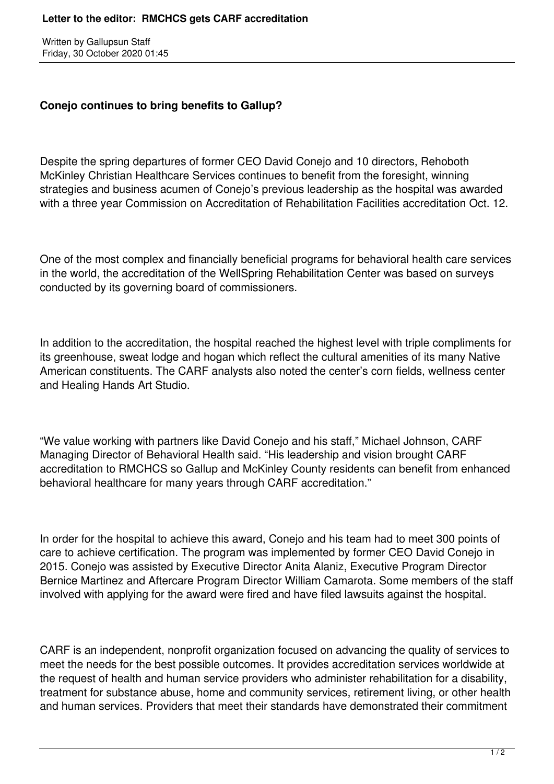Written by Gallupsun Staff Friday, 30 October 2020 01:45

## **Conejo continues to bring benefits to Gallup?**

Despite the spring departures of former CEO David Conejo and 10 directors, Rehoboth McKinley Christian Healthcare Services continues to benefit from the foresight, winning strategies and business acumen of Conejo's previous leadership as the hospital was awarded with a three year Commission on Accreditation of Rehabilitation Facilities accreditation Oct. 12.

One of the most complex and financially beneficial programs for behavioral health care services in the world, the accreditation of the WellSpring Rehabilitation Center was based on surveys conducted by its governing board of commissioners.

In addition to the accreditation, the hospital reached the highest level with triple compliments for its greenhouse, sweat lodge and hogan which reflect the cultural amenities of its many Native American constituents. The CARF analysts also noted the center's corn fields, wellness center and Healing Hands Art Studio.

"We value working with partners like David Conejo and his staff," Michael Johnson, CARF Managing Director of Behavioral Health said. "His leadership and vision brought CARF accreditation to RMCHCS so Gallup and McKinley County residents can benefit from enhanced behavioral healthcare for many years through CARF accreditation."

In order for the hospital to achieve this award, Conejo and his team had to meet 300 points of care to achieve certification. The program was implemented by former CEO David Conejo in 2015. Conejo was assisted by Executive Director Anita Alaniz, Executive Program Director Bernice Martinez and Aftercare Program Director William Camarota. Some members of the staff involved with applying for the award were fired and have filed lawsuits against the hospital.

CARF is an independent, nonprofit organization focused on advancing the quality of services to meet the needs for the best possible outcomes. It provides accreditation services worldwide at the request of health and human service providers who administer rehabilitation for a disability, treatment for substance abuse, home and community services, retirement living, or other health and human services. Providers that meet their standards have demonstrated their commitment